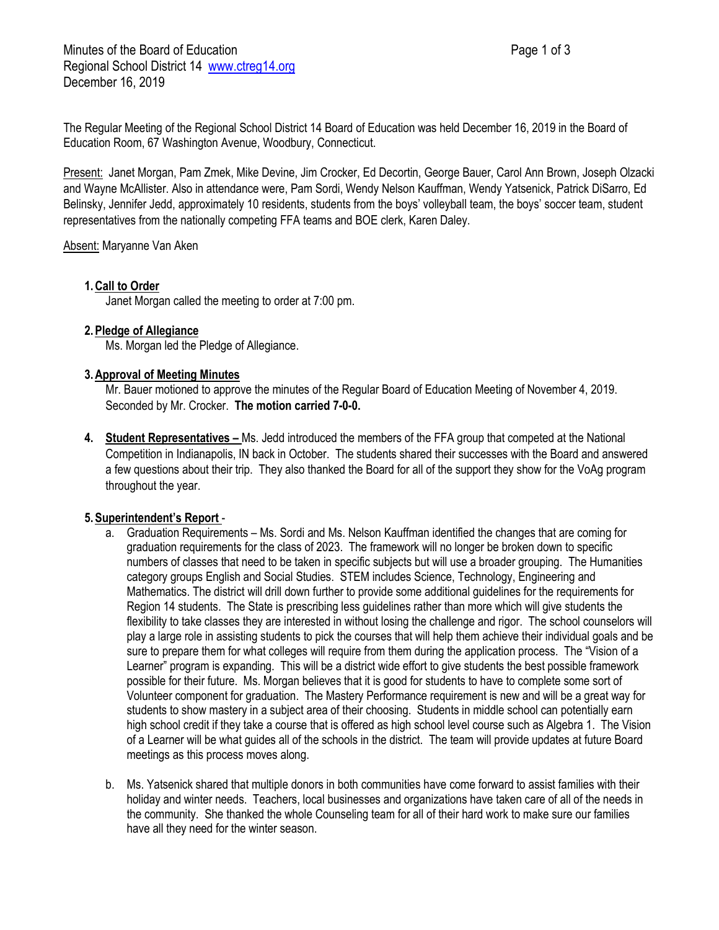Minutes of the Board of Education **Page 1 of 3** Page 1 of 3 Regional School District 14 [www.ctreg14.org](http://www.ctreg14.org/) December 16, 2019

The Regular Meeting of the Regional School District 14 Board of Education was held December 16, 2019 in the Board of Education Room, 67 Washington Avenue, Woodbury, Connecticut.

Present: Janet Morgan, Pam Zmek, Mike Devine, Jim Crocker, Ed Decortin, George Bauer, Carol Ann Brown, Joseph Olzacki and Wayne McAllister. Also in attendance were, Pam Sordi, Wendy Nelson Kauffman, Wendy Yatsenick, Patrick DiSarro, Ed Belinsky, Jennifer Jedd, approximately 10 residents, students from the boys' volleyball team, the boys' soccer team, student representatives from the nationally competing FFA teams and BOE clerk, Karen Daley.

Absent: Maryanne Van Aken

# **1.Call to Order**

Janet Morgan called the meeting to order at 7:00 pm.

## **2.Pledge of Allegiance**

Ms. Morgan led the Pledge of Allegiance.

## **3.Approval of Meeting Minutes**

Mr. Bauer motioned to approve the minutes of the Regular Board of Education Meeting of November 4, 2019. Seconded by Mr. Crocker. **The motion carried 7-0-0.**

**4. Student Representatives –** Ms. Jedd introduced the members of the FFA group that competed at the National Competition in Indianapolis, IN back in October. The students shared their successes with the Board and answered a few questions about their trip. They also thanked the Board for all of the support they show for the VoAg program throughout the year.

# **5.Superintendent's Report** -

- a. Graduation Requirements Ms. Sordi and Ms. Nelson Kauffman identified the changes that are coming for graduation requirements for the class of 2023. The framework will no longer be broken down to specific numbers of classes that need to be taken in specific subjects but will use a broader grouping. The Humanities category groups English and Social Studies. STEM includes Science, Technology, Engineering and Mathematics. The district will drill down further to provide some additional guidelines for the requirements for Region 14 students. The State is prescribing less guidelines rather than more which will give students the flexibility to take classes they are interested in without losing the challenge and rigor. The school counselors will play a large role in assisting students to pick the courses that will help them achieve their individual goals and be sure to prepare them for what colleges will require from them during the application process. The "Vision of a Learner" program is expanding. This will be a district wide effort to give students the best possible framework possible for their future. Ms. Morgan believes that it is good for students to have to complete some sort of Volunteer component for graduation. The Mastery Performance requirement is new and will be a great way for students to show mastery in a subject area of their choosing. Students in middle school can potentially earn high school credit if they take a course that is offered as high school level course such as Algebra 1. The Vision of a Learner will be what guides all of the schools in the district. The team will provide updates at future Board meetings as this process moves along.
- b. Ms. Yatsenick shared that multiple donors in both communities have come forward to assist families with their holiday and winter needs. Teachers, local businesses and organizations have taken care of all of the needs in the community. She thanked the whole Counseling team for all of their hard work to make sure our families have all they need for the winter season.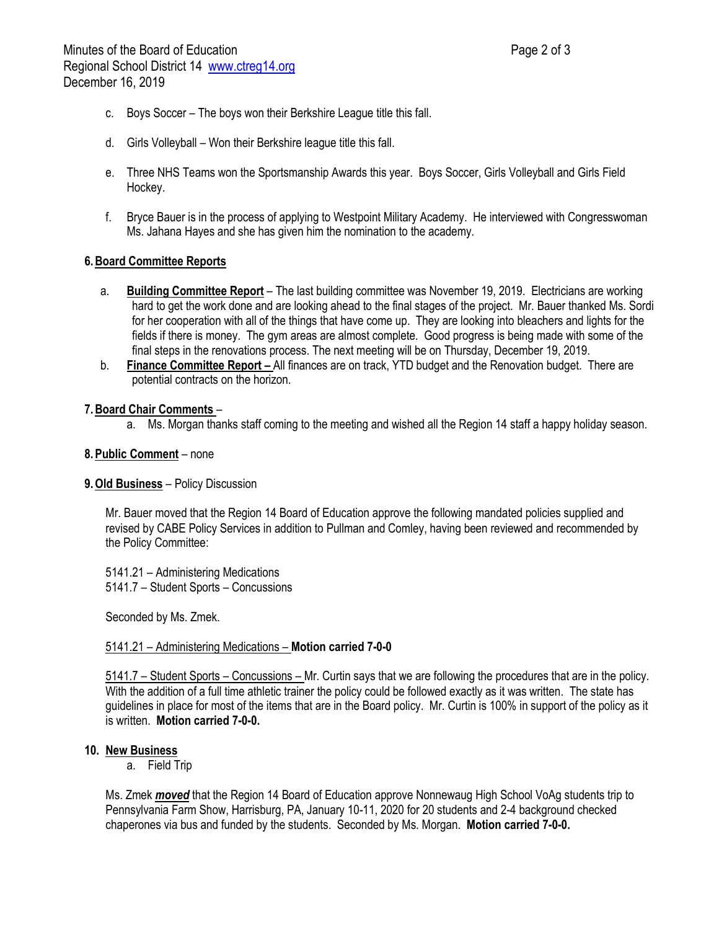- c. Boys Soccer The boys won their Berkshire League title this fall.
- d. Girls Volleyball Won their Berkshire league title this fall.
- e. Three NHS Teams won the Sportsmanship Awards this year. Boys Soccer, Girls Volleyball and Girls Field Hockey.
- f. Bryce Bauer is in the process of applying to Westpoint Military Academy. He interviewed with Congresswoman Ms. Jahana Hayes and she has given him the nomination to the academy.

### **6.Board Committee Reports**

- a. **Building Committee Report** The last building committee was November 19, 2019. Electricians are working hard to get the work done and are looking ahead to the final stages of the project. Mr. Bauer thanked Ms. Sordi for her cooperation with all of the things that have come up. They are looking into bleachers and lights for the fields if there is money. The gym areas are almost complete. Good progress is being made with some of the final steps in the renovations process. The next meeting will be on Thursday, December 19, 2019.
- b. **Finance Committee Report –** All finances are on track, YTD budget and the Renovation budget. There are potential contracts on the horizon.

#### **7.Board Chair Comments** –

a. Ms. Morgan thanks staff coming to the meeting and wished all the Region 14 staff a happy holiday season.

### **8.Public Comment** – none

### **9.Old Business** – Policy Discussion

Mr. Bauer moved that the Region 14 Board of Education approve the following mandated policies supplied and revised by CABE Policy Services in addition to Pullman and Comley, having been reviewed and recommended by the Policy Committee:

5141.21 – Administering Medications 5141.7 – Student Sports – Concussions

Seconded by Ms. Zmek.

### 5141.21 – Administering Medications – **Motion carried 7-0-0**

5141.7 – Student Sports – Concussions – Mr. Curtin says that we are following the procedures that are in the policy. With the addition of a full time athletic trainer the policy could be followed exactly as it was written. The state has guidelines in place for most of the items that are in the Board policy. Mr. Curtin is 100% in support of the policy as it is written. **Motion carried 7-0-0.**

### **10. New Business**

a. Field Trip

Ms. Zmek *moved* that the Region 14 Board of Education approve Nonnewaug High School VoAg students trip to Pennsylvania Farm Show, Harrisburg, PA, January 10-11, 2020 for 20 students and 2-4 background checked chaperones via bus and funded by the students. Seconded by Ms. Morgan. **Motion carried 7-0-0.**